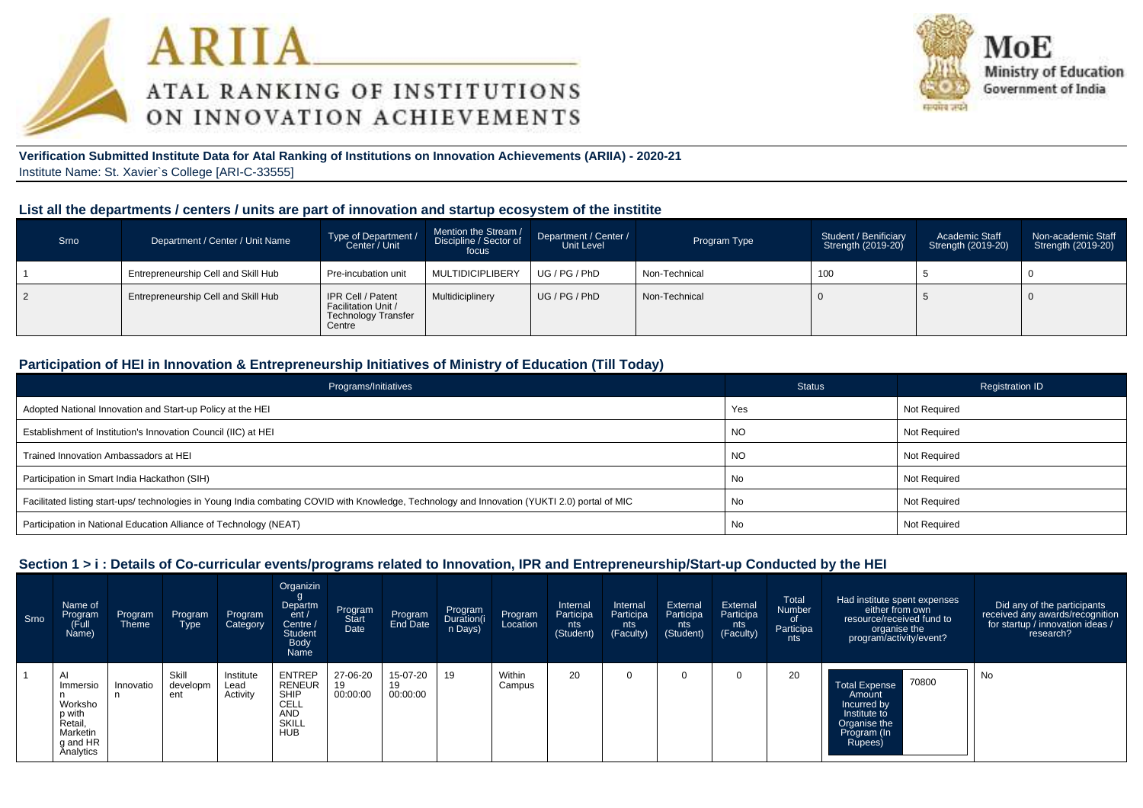



#### **Verification Submitted Institute Data for Atal Ranking of Institutions on Innovation Achievements (ARIIA) - 2020-21**Institute Name: St. Xavier`s College [ARI-C-33555]

#### **List all the departments / centers / units are part of innovation and startup ecosystem of the institite**

| Srno | Department / Center / Unit Name     | Type of Department /<br>Center / Unit                                     | Mention the Stream /<br>Discipline / Sector of<br>focus | Department / Center /<br>Unit Level | Program Type  | Student / Benificiary<br>Strength (2019-20) | Academic Staff<br>Strength (2019-20) | Non-academic Staff<br>Strength (2019-20) |
|------|-------------------------------------|---------------------------------------------------------------------------|---------------------------------------------------------|-------------------------------------|---------------|---------------------------------------------|--------------------------------------|------------------------------------------|
|      | Entrepreneurship Cell and Skill Hub | Pre-incubation unit                                                       | <b>MULTIDICIPLIBERY</b>                                 | UG / PG / PhD                       | Non-Technical | 100                                         |                                      |                                          |
|      | Entrepreneurship Cell and Skill Hub | IPR Cell / Patent<br>Facilitation Unit /<br>Technology Transfer<br>Centre | Multidiciplinery                                        | UG/PG/PhD                           | Non-Technical |                                             |                                      |                                          |

#### **Participation of HEI in Innovation & Entrepreneurship Initiatives of Ministry of Education (Till Today)**

| Programs/Initiatives                                                                                                                           | <b>Status</b> | Registration ID     |
|------------------------------------------------------------------------------------------------------------------------------------------------|---------------|---------------------|
| Adopted National Innovation and Start-up Policy at the HEI                                                                                     | Yes           | Not Required        |
| Establishment of Institution's Innovation Council (IIC) at HEI                                                                                 | NO.           | Not Required        |
| Trained Innovation Ambassadors at HEI                                                                                                          | <b>NO</b>     | Not Required        |
| Participation in Smart India Hackathon (SIH)                                                                                                   | No            | Not Required        |
| Facilitated listing start-ups/ technologies in Young India combating COVID with Knowledge, Technology and Innovation (YUKTI 2.0) portal of MIC | No            | <b>Not Required</b> |
| Participation in National Education Alliance of Technology (NEAT)                                                                              | No            | <b>Not Required</b> |

#### **Section 1 > i : Details of Co-curricular events/programs related to Innovation, IPR and Entrepreneurship/Start-up Conducted by the HEI**

| Srno | Name of<br>Program<br>Full)<br>Name)                                                            | Program<br><b>Theme</b> | Program<br>Type          | Program<br>Category           | Organizin<br>Departm<br>ent/<br>Centre /<br><b>Student</b><br><b>Body</b><br>Name                 | Program<br>Start<br>Date | Program<br>End Date        | Program<br>Duration(i<br>n Days) | Program<br>Location | Internal<br>Participa<br>nts<br>(Student) | Internal<br>Participa<br>nts<br>(Faculty) | External<br>Participa<br>nts<br>(Student) | External<br>Participa<br>nts<br>(Faculty) | Total<br>Number<br>_of<br>Participa<br>nts | Had institute spent expenses<br>either from own<br>resource/received fund to<br>organise the<br>program/activity/event? | Did any of the participants<br>received any awards/recognition<br>for startup / innovation ideas /<br>research? |
|------|-------------------------------------------------------------------------------------------------|-------------------------|--------------------------|-------------------------------|---------------------------------------------------------------------------------------------------|--------------------------|----------------------------|----------------------------------|---------------------|-------------------------------------------|-------------------------------------------|-------------------------------------------|-------------------------------------------|--------------------------------------------|-------------------------------------------------------------------------------------------------------------------------|-----------------------------------------------------------------------------------------------------------------|
|      | $\overline{A}$<br>Immersio<br>Worksho<br>p with<br>Retail,<br>Marketin<br>g and HR<br>Analytics | Innovatio               | Skill<br>developm<br>ent | Institute<br>Lead<br>Activity | <b>ENTREP</b><br><b>RENEUR</b><br><b>SHIP</b><br>CELL<br><b>AND</b><br><b>SKILL</b><br><b>HUB</b> | 27-06-20<br>00:00:00     | 15-07-20<br>19<br>00:00:00 | 19                               | Within<br>Campus    | 20                                        | $\Omega$                                  |                                           |                                           | 20                                         | 70800<br><b>Total Expense</b><br>Amount<br>Incurred by<br>Institute to<br>Organise the<br>Program (In<br>Rupees)        | No                                                                                                              |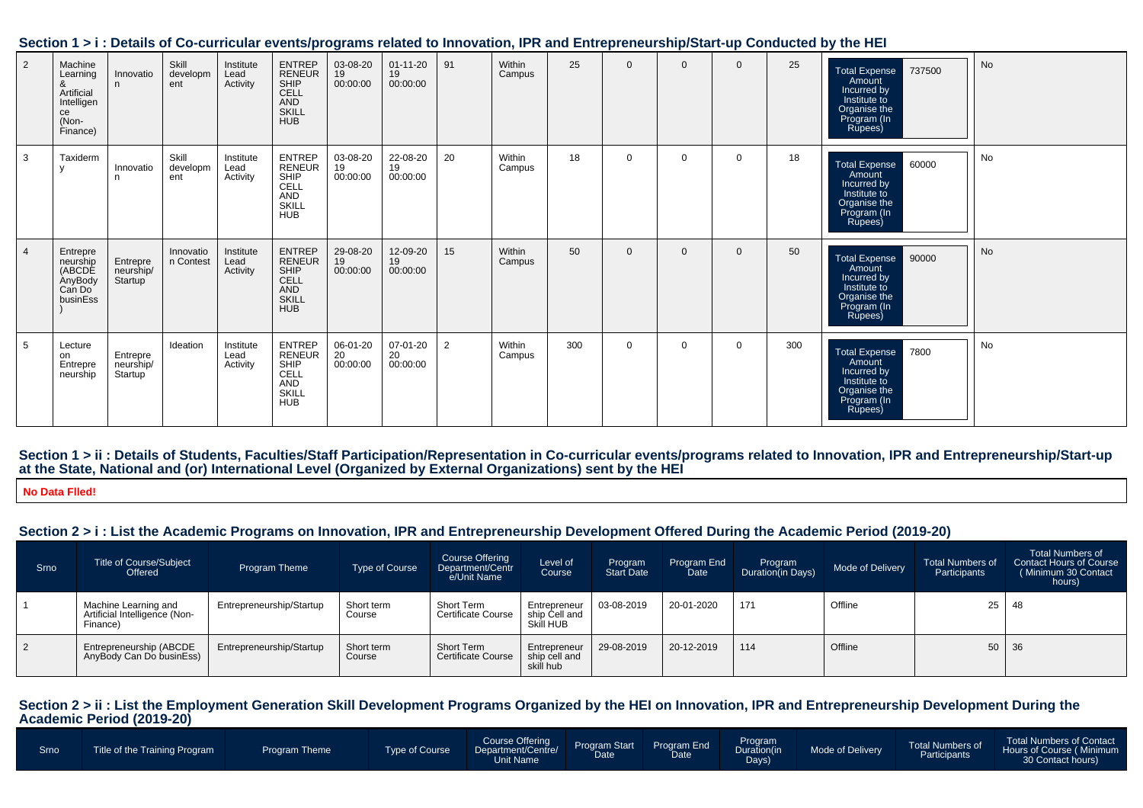| 2              | Machine<br>Learning<br>&<br>Artificial<br>Intelligen<br>ce<br>(Non-<br>Finance) | Innovatio<br>n                                | Skill<br>developm<br>ent | Institute<br>Lead<br>Activity | ENTREP<br>RENEUR<br>SHIP<br>CELL<br>AND<br><b>SKILL</b><br><b>HUB</b> | 03-08-20<br>19<br>00:00:00 | $01 - 11 - 20$<br>19<br>00:00:00 | 91             | Within<br>Campus | 25  | $\Omega$     | $\Omega$ | $\Omega$       | 25  | 737500<br><b>Total Expense</b><br><b>Amount</b><br>Incurred by<br>Institute to<br>Organise the<br>Program (In<br>Rupees) | No |
|----------------|---------------------------------------------------------------------------------|-----------------------------------------------|--------------------------|-------------------------------|-----------------------------------------------------------------------|----------------------------|----------------------------------|----------------|------------------|-----|--------------|----------|----------------|-----|--------------------------------------------------------------------------------------------------------------------------|----|
| 3              | Taxiderm                                                                        | Innovatio<br>n                                | Skill<br>developm<br>ent | Institute<br>Lead<br>Activity | <b>ENTREP</b><br>RENEUR<br>SHIP<br>CELL<br>AND<br>SKILL<br><b>HUB</b> | 03-08-20<br>19<br>00:00:00 | 22-08-20<br>19<br>00:00:00       | 20             | Within<br>Campus | 18  | $\Omega$     | $\Omega$ | $\Omega$       | 18  | Total Expense 60000<br>Amount<br>Incurred by<br>Institute to<br>Organise the<br>Program (In<br>Rupees)                   | No |
| $\overline{4}$ | Entrepre<br>neurship<br>(ABCDE<br>AnyBody<br>Can Do<br>businEss                 | Entrepre<br>neurship/<br>Startup <sup>1</sup> | Innovatio<br>n Contest   | Institute<br>Lead<br>Activity | ENTREP<br>RENEUR<br>SHIP<br>CELL<br>AND<br><b>SKILL</b><br><b>HUB</b> | 29-08-20<br>19<br>00:00:00 | 12-09-20<br>19<br>00:00:00       | 15             | Within<br>Campus | 50  | $\mathbf{0}$ | $\Omega$ | $\overline{0}$ | 50  | Total Expense 90000<br>Amount<br>Incurred by<br>Institute to<br>Organise the<br>Program (In<br>Rupees)                   | No |
| 5              | Lecture<br>on<br>Entrepre<br>neurship                                           | Entrepre<br>neurship/<br>Startup              | Ideation                 | Institute<br>Lead<br>Activity | ENTREP<br>RENEUR<br>SHIP<br>CELL<br>AND<br><b>SKILL</b><br><b>HUB</b> | 06-01-20<br>20<br>00:00:00 | 07-01-20<br>20<br>00:00:00       | $\overline{2}$ | Within<br>Campus | 300 | $\mathbf 0$  | $\Omega$ | $\overline{0}$ | 300 | Total Expense 7800<br><b>Amount</b><br>Incurred by<br>Institute to<br>Organise the<br>Program (In<br>Rupees)             | No |

#### **Section 1 > i : Details of Co-curricular events/programs related to Innovation, IPR and Entrepreneurship/Start-up Conducted by the HEI**

**Section 1 > ii : Details of Students, Faculties/Staff Participation/Representation in Co-curricular events/programs related to Innovation, IPR and Entrepreneurship/Start-upat the State, National and (or) International Level (Organized by External Organizations) sent by the HEI**

**No Data Flled!**

# **Section 2 > i : List the Academic Programs on Innovation, IPR and Entrepreneurship Development Offered During the Academic Period (2019-20)**

| Srno      | <b>Title of Course/Subject</b><br>Offered                         | <b>Program Theme</b>     | <b>Type of Course</b> | Course Offering<br>Department/Centr<br>e/Unit Name | Level of<br>Course                         | Program<br><b>Start Date</b> | Program End<br>Date | Program<br>Duration(in Days) | Mode of Delivery | <b>Total Numbers of</b><br>Participants | <b>Total Numbers of</b><br><b>Contact Hours of Course</b><br>(Minimum 30 Contact<br>hours) |
|-----------|-------------------------------------------------------------------|--------------------------|-----------------------|----------------------------------------------------|--------------------------------------------|------------------------------|---------------------|------------------------------|------------------|-----------------------------------------|--------------------------------------------------------------------------------------------|
|           | Machine Learning and<br>Artificial Intelligence (Non-<br>Finance) | Entrepreneurship/Startup | Short term<br>Course  | Short Term<br>Certificate Course                   | Entrepreneur<br>ship Cell and<br>Skill HUB | 03-08-2019                   | 20-01-2020          | 171                          | Offline          | 25                                      | 48                                                                                         |
| $\vert$ 2 | Entrepreneurship (ABCDE<br>AnyBody Can Do businEss)               | Entrepreneurship/Startup | Short term<br>Course  | Short Term<br><b>Certificate Course</b>            | Entrepreneur<br>ship cell and<br>skill hub | 29-08-2019                   | 20-12-2019          | 114                          | Offline          |                                         | $50 \mid 36$                                                                               |

# **Section 2 > ii : List the Employment Generation Skill Development Programs Organized by the HEI on Innovation, IPR and Entrepreneurship Development During the Academic Period (2019-20)**

| Course Offering<br>Program<br>Duration(in<br>Program Start Program End<br>Date Date<br>Total Numbers of<br>Mode of Delivery<br>Type of Course<br>Department/Centre/<br>Title of the Training Program<br><b>Program Theme</b><br>Srno<br>Participants<br>Days)<br>30 Contact hours)<br>Unit Name |  |  |  |  |  |  |  |  |  |  | <b>Total Numbers of Contact</b><br>Hours of Course (Minimum |
|-------------------------------------------------------------------------------------------------------------------------------------------------------------------------------------------------------------------------------------------------------------------------------------------------|--|--|--|--|--|--|--|--|--|--|-------------------------------------------------------------|
|-------------------------------------------------------------------------------------------------------------------------------------------------------------------------------------------------------------------------------------------------------------------------------------------------|--|--|--|--|--|--|--|--|--|--|-------------------------------------------------------------|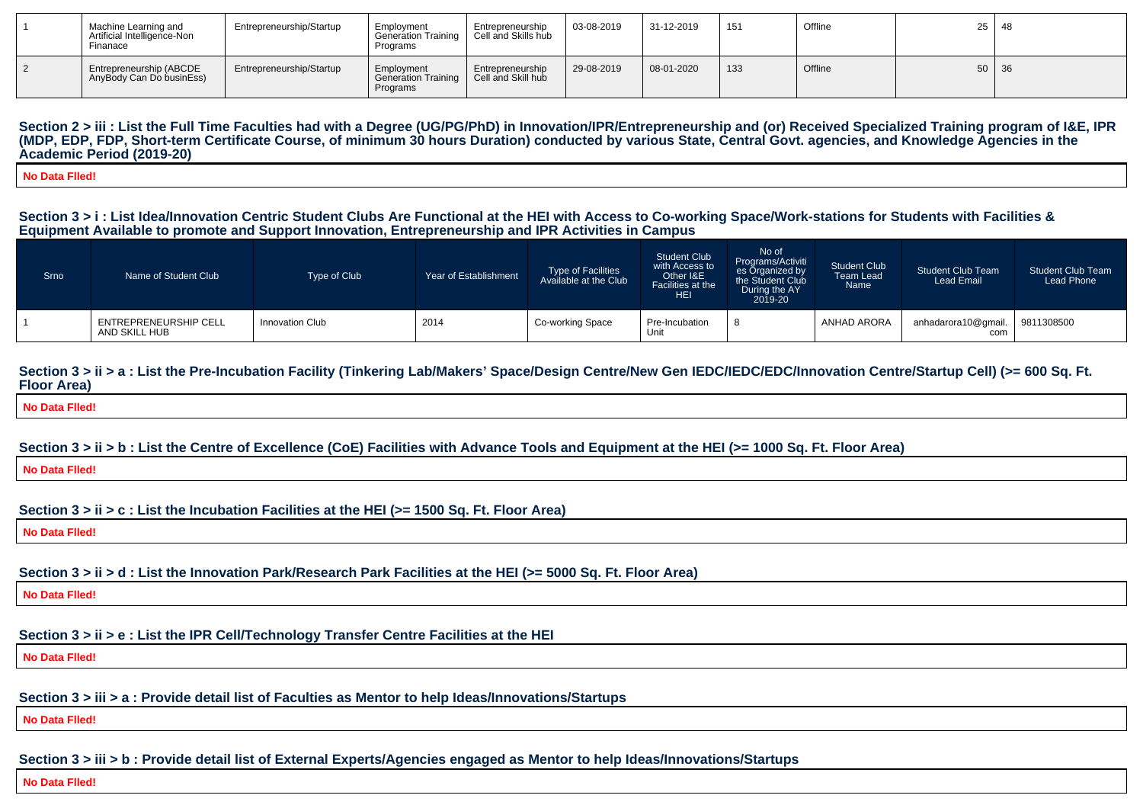| Machine Learning and<br>Artificial Intelligence-Non<br>Finanace | Entrepreneurship/Startup | Employment<br>Generation Training<br>Programs        | Entrepreneurship<br>Cell and Skills hub | 03-08-2019 | 31-12-2019 | 151 | Offline | 25 48 |  |
|-----------------------------------------------------------------|--------------------------|------------------------------------------------------|-----------------------------------------|------------|------------|-----|---------|-------|--|
| Entrepreneurship (ABCDE<br>AnyBody Can Do businEss)             | Entrepreneurship/Startup | Employment<br><b>Generation Training</b><br>Programs | Entrepreneurship<br>Cell and Skill hub  | 29-08-2019 | 08-01-2020 | 133 | Offline | 50 36 |  |

Section 2 > iii : List the Full Time Faculties had with a Degree (UG/PG/PhD) in Innovation/IPR/Entrepreneurship and (or) Received Specialized Training program of I&E, IPR **(MDP, EDP, FDP, Short-term Certificate Course, of minimum 30 hours Duration) conducted by various State, Central Govt. agencies, and Knowledge Agencies in theAcademic Period (2019-20)**

**No Data Flled!**

#### **Section 3 > i : List Idea/Innovation Centric Student Clubs Are Functional at the HEI with Access to Co-working Space/Work-stations for Students with Facilities &Equipment Available to promote and Support Innovation, Entrepreneurship and IPR Activities in Campus**

| Srno | Name of Student Club                   | Type of Club           | Year of Establishment | <b>Type of Facilities</b><br>Available at the Club | <b>Student Club</b><br>with Access to<br>Other I&E<br>Facilities at the<br><b>HEI</b> | No of<br>Programs/Activiti<br>es Organized by<br>the Student Club<br>During the AY<br>$2019 - 20$ | <b>Student Club</b><br><b>Team Lead</b><br>Name | <b>Student Club Team</b><br><b>Lead Email</b> | <b>Student Club Team</b><br>Lead Phone |
|------|----------------------------------------|------------------------|-----------------------|----------------------------------------------------|---------------------------------------------------------------------------------------|---------------------------------------------------------------------------------------------------|-------------------------------------------------|-----------------------------------------------|----------------------------------------|
|      | ENTREPRENEURSHIP CELL<br>AND SKILL HUB | <b>Innovation Club</b> | 2014                  | Co-working Space                                   | Pre-Incubation<br>Unit                                                                |                                                                                                   | ANHAD ARORA                                     | anhadarora10@gmail.<br>com                    | 9811308500                             |

#### Section  $3 > i$  i > a : List the Pre-Incubation Facility (Tinkering Lab/Makers' Space/Design Centre/New Gen IEDC/IEDC/EDC/Innovation Centre/Startup Cell) (>= 600 Sq. Ft. **Floor Area)**

**No Data Flled!**

#### **Section 3 > ii > b : List the Centre of Excellence (CoE) Facilities with Advance Tools and Equipment at the HEI (>= 1000 Sq. Ft. Floor Area)**

**No Data Flled!**

#### **Section 3 > ii > c : List the Incubation Facilities at the HEI (>= 1500 Sq. Ft. Floor Area)**

**No Data Flled!**

### **Section 3 > ii > d : List the Innovation Park/Research Park Facilities at the HEI (>= 5000 Sq. Ft. Floor Area)**

**No Data Flled!**

# **Section 3 > ii > e : List the IPR Cell/Technology Transfer Centre Facilities at the HEI**

**No Data Flled!**

## **Section 3 > iii > a : Provide detail list of Faculties as Mentor to help Ideas/Innovations/Startups**

**No Data Flled!**

# **Section 3 > iii > b : Provide detail list of External Experts/Agencies engaged as Mentor to help Ideas/Innovations/Startups**

**No Data Flled!**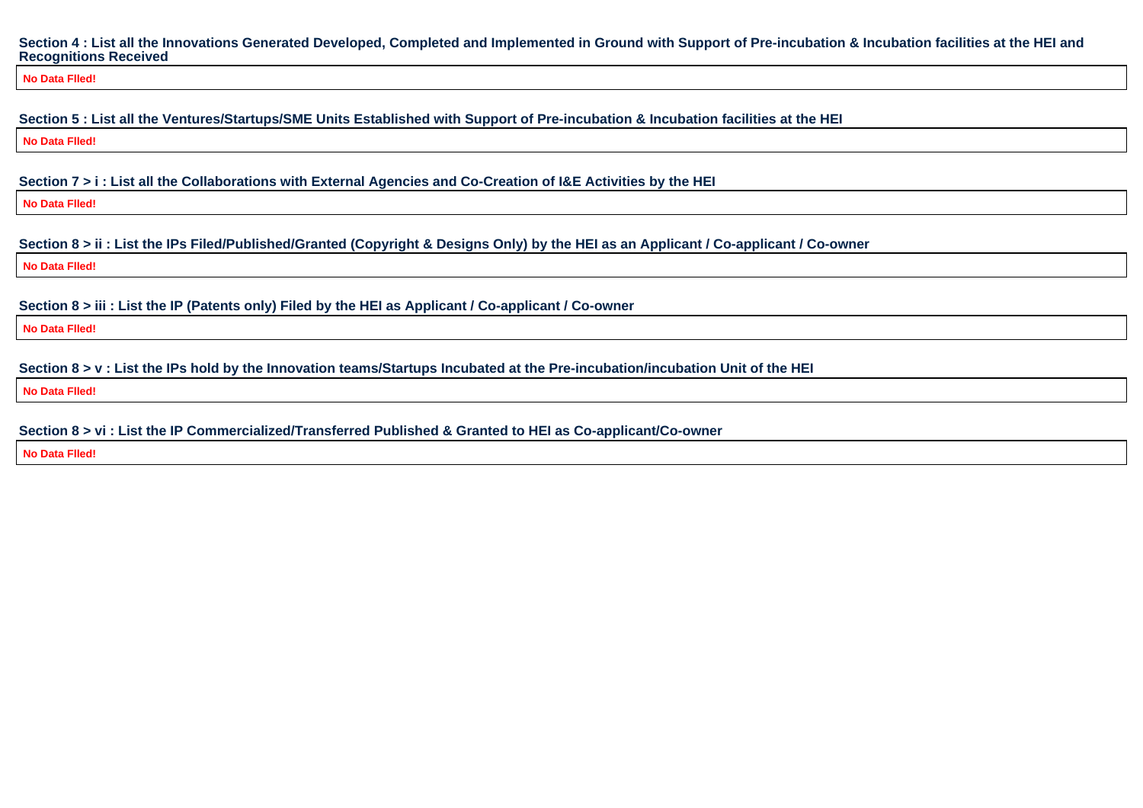#### **Section 4 : List all the Innovations Generated Developed, Completed and Implemented in Ground with Support of Pre-incubation & Incubation facilities at the HEI andRecognitions Received**

**No Data Flled!**

**Section 5 : List all the Ventures/Startups/SME Units Established with Support of Pre-incubation & Incubation facilities at the HEI**

**No Data Flled!**

**Section 7 > i : List all the Collaborations with External Agencies and Co-Creation of I&E Activities by the HEI**

**No Data Flled!**

**Section 8 > ii : List the IPs Filed/Published/Granted (Copyright & Designs Only) by the HEI as an Applicant / Co-applicant / Co-owner**

**No Data Flled!**

**Section 8 > iii : List the IP (Patents only) Filed by the HEI as Applicant / Co-applicant / Co-owner**

**No Data Flled!**

**Section 8 > v : List the IPs hold by the Innovation teams/Startups Incubated at the Pre-incubation/incubation Unit of the HEI**

**No Data Flled!**

**Section 8 > vi : List the IP Commercialized/Transferred Published & Granted to HEI as Co-applicant/Co-owner**

**No Data Flled!**